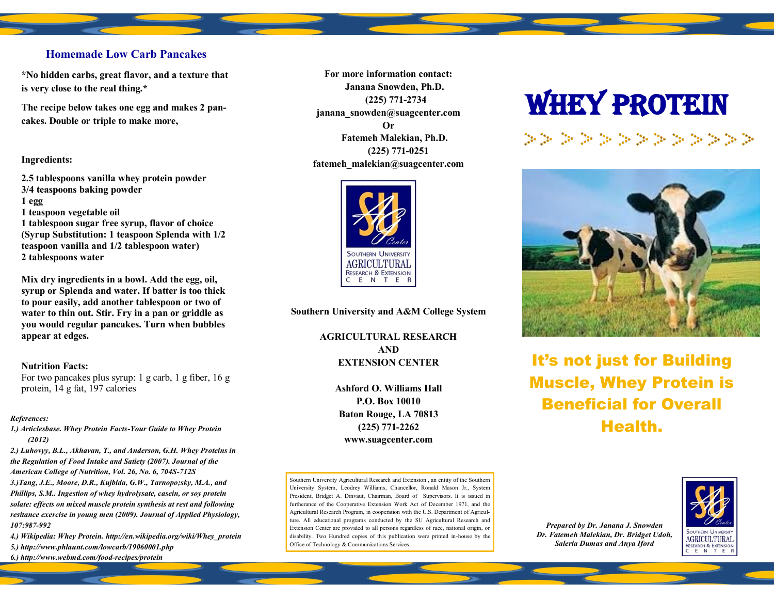#### **Homemade Low Carb Pancakes**

**\*No hidden carbs, great flavor, and a texture that is very close to the real thing.\***

**The recipe below takes one egg and makes 2 pancakes. Double or triple to make more,** 

#### **Ingredients:**

**2.5 tablespoons vanilla whey protein powder 3/4 teaspoons baking powder 1 egg 1 teaspoon vegetable oil 1 tablespoon sugar free syrup, flavor of choice (Syrup Substitution: 1 teaspoon Splenda with 1/2 teaspoon vanilla and 1/2 tablespoon water) 2 tablespoons water**

**Mix dry ingredients in a bowl. Add the egg, oil, syrup or Splenda and water. If batter is too thick to pour easily, add another tablespoon or two of water to thin out. Stir. Fry in a pan or griddle as you would regular pancakes. Turn when bubbles appear at edges.**

#### **Nutrition Facts:**

For two pancakes plus syrup: 1 g carb, 1 g fiber, 16 g protein, 14 g fat, 197 calories

#### *References:*

*1.) Articlesbase. Whey Protein Facts-Your Guide to Whey Protein (2012)*

*2.) Luhovyy, B.L., Akhavan, T., and Anderson, G.H. Whey Proteins in the Regulation of Food Intake and Satiety (2007). Journal of the American College of Nutrition, Vol. 26, No. 6, 704S-712S 3.)Tang, J.E., Moore, D.R., Kujbida, G.W., Tarnopo;sky, M.A., and Phillips, S.M.. Ingestion of whey hydrolysate, casein, or soy protein solate: effects on mixed muscle protein synthesis at rest and following resitance exercise in young men (2009). Journal of Applied Physiology, 107:987-992*

*4.) Wikipedia: Whey Protein. http://en.wikipedia.org/wiki/Whey\_protein 5.) http://www.phlaunt.com/lowcarb/19060001.php*

*6.) http://www.webmd.com/food-recipes/protein*

**For more information contact: Janana Snowden, Ph.D. (225) 771-2734 janana\_snowden@suagcenter.com Or Fatemeh Malekian, Ph.D. (225) 771-0251 fatemeh\_malekian@suagcenter.com**



**Southern University and A&M College System**

**AGRICULTURAL RESEARCH AND EXTENSION CENTER**

> **Ashford O. Williams Hall P.O. Box 10010 Baton Rouge, LA 70813 (225) 771-2262 www.suagcenter.com**

Southern University Agricultural Research and Extension , an entity of the Southern University System, Leodrey Williams, Chancellor, Ronald Mason Jr., System President, Bridget A. Dinvaut, Chairman, Board of Supervisors. It is issued in furtherance of the Cooperative Extension Work Act of December 1971, and the Agricultural Research Program, in cooperation with the U.S. Department of Agriculture. All educational programs conducted by the SU Agricultural Research and Extension Center are provided to all persons regardless of race, national origin, or disability. Two Hundred copies of this publication were printed in-house by the Office of Technology & Communications Services.

# **WHEY PROTEIN**

de de de de de de de de de de de de



It's not just for Building Muscle, Whey Protein is Beneficial for Overall Health.

*Prepared by Dr. Janana J. Snowden Dr. Fatemeh Malekian, Dr. Bridget Udoh, Saleria Dumas and Anya Iford*